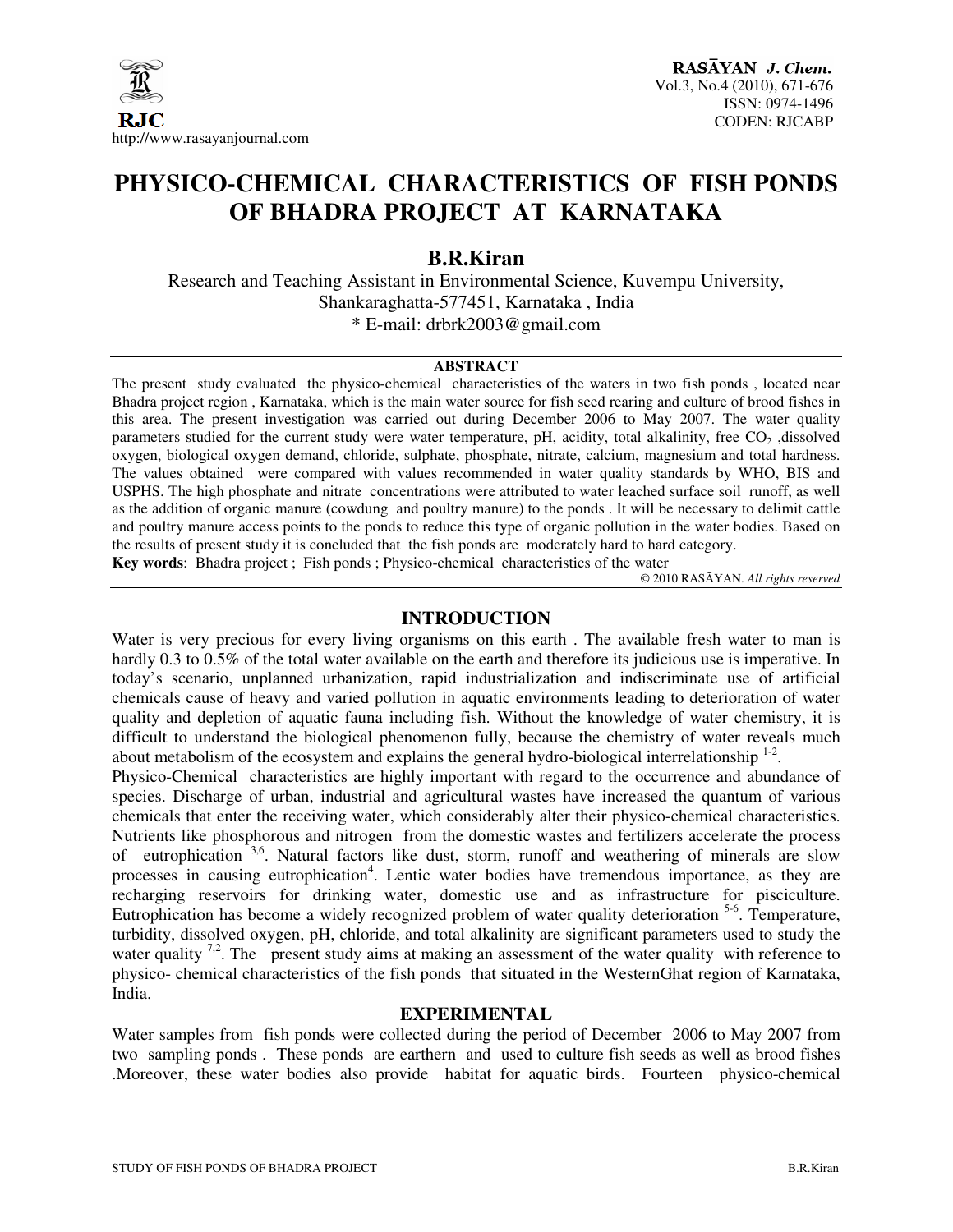

# **PHYSICO-CHEMICAL CHARACTERISTICS OF FISH PONDS OF BHADRA PROJECT AT KARNATAKA**

## **B.R.Kiran**

Research and Teaching Assistant in Environmental Science, Kuvempu University, Shankaraghatta-577451, Karnataka , India \* E-mail: drbrk2003@gmail.com

#### **ABSTRACT**

The present study evaluated the physico-chemical characteristics of the waters in two fish ponds , located near Bhadra project region , Karnataka, which is the main water source for fish seed rearing and culture of brood fishes in this area. The present investigation was carried out during December 2006 to May 2007. The water quality parameters studied for the current study were water temperature, pH, acidity, total alkalinity, free  $CO<sub>2</sub>$ , dissolved oxygen, biological oxygen demand, chloride, sulphate, phosphate, nitrate, calcium, magnesium and total hardness. The values obtained were compared with values recommended in water quality standards by WHO, BIS and USPHS. The high phosphate and nitrate concentrations were attributed to water leached surface soil runoff, as well as the addition of organic manure (cowdung and poultry manure) to the ponds . It will be necessary to delimit cattle and poultry manure access points to the ponds to reduce this type of organic pollution in the water bodies. Based on the results of present study it is concluded that the fish ponds are moderately hard to hard category. **Key words**: Bhadra project ; Fish ponds ; Physico-chemical characteristics of the water

© 2010 RASĀYAN. *All rights reserved*

#### **INTRODUCTION**

Water is very precious for every living organisms on this earth . The available fresh water to man is hardly 0.3 to 0.5% of the total water available on the earth and therefore its judicious use is imperative. In today's scenario, unplanned urbanization, rapid industrialization and indiscriminate use of artificial chemicals cause of heavy and varied pollution in aquatic environments leading to deterioration of water quality and depletion of aquatic fauna including fish. Without the knowledge of water chemistry, it is difficult to understand the biological phenomenon fully, because the chemistry of water reveals much about metabolism of the ecosystem and explains the general hydro-biological interrelationship  $1-2$ .

Physico-Chemical characteristics are highly important with regard to the occurrence and abundance of species. Discharge of urban, industrial and agricultural wastes have increased the quantum of various chemicals that enter the receiving water, which considerably alter their physico-chemical characteristics. Nutrients like phosphorous and nitrogen from the domestic wastes and fertilizers accelerate the process of eutrophication  $3.6$ . Natural factors like dust, storm, runoff and weathering of minerals are slow processes in causing eutrophication<sup>4</sup>. Lentic water bodies have tremendous importance, as they are recharging reservoirs for drinking water, domestic use and as infrastructure for pisciculture. Eutrophication has become a widely recognized problem of water quality deterioration <sup>5-6</sup>. Temperature, turbidity, dissolved oxygen, pH, chloride, and total alkalinity are significant parameters used to study the water quality <sup>7,2</sup>. The present study aims at making an assessment of the water quality with reference to physico- chemical characteristics of the fish ponds that situated in the WesternGhat region of Karnataka, India.

### **EXPERIMENTAL**

Water samples from fish ponds were collected during the period of December 2006 to May 2007 from two sampling ponds . These ponds are earthern and used to culture fish seeds as well as brood fishes .Moreover, these water bodies also provide habitat for aquatic birds. Fourteen physico-chemical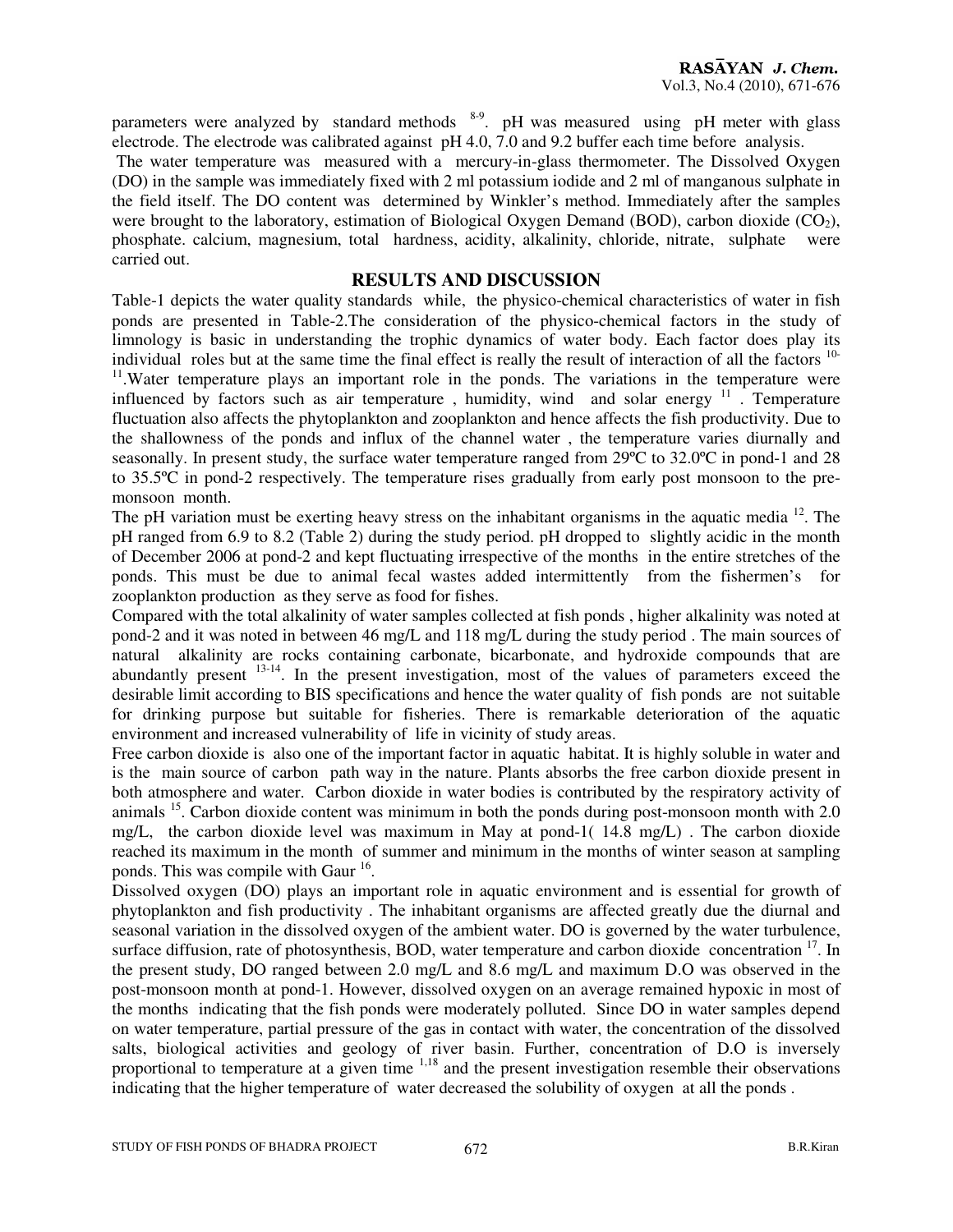parameters were analyzed by standard methods <sup>8-9</sup>. pH was measured using pH meter with glass electrode. The electrode was calibrated against pH 4.0, 7.0 and 9.2 buffer each time before analysis.

 The water temperature was measured with a mercury-in-glass thermometer. The Dissolved Oxygen (DO) in the sample was immediately fixed with 2 ml potassium iodide and 2 ml of manganous sulphate in the field itself. The DO content was determined by Winkler's method. Immediately after the samples were brought to the laboratory, estimation of Biological Oxygen Demand (BOD), carbon dioxide  $(CO<sub>2</sub>)$ , phosphate. calcium, magnesium, total hardness, acidity, alkalinity, chloride, nitrate, sulphate were carried out.

#### **RESULTS AND DISCUSSION**

Table-1 depicts the water quality standards while, the physico-chemical characteristics of water in fish ponds are presented in Table-2.The consideration of the physico-chemical factors in the study of limnology is basic in understanding the trophic dynamics of water body. Each factor does play its individual roles but at the same time the final effect is really the result of interaction of all the factors <sup>10-</sup> <sup>11</sup>. Water temperature plays an important role in the ponds. The variations in the temperature were influenced by factors such as air temperature, humidity, wind and solar energy <sup>11</sup>. Temperature fluctuation also affects the phytoplankton and zooplankton and hence affects the fish productivity. Due to the shallowness of the ponds and influx of the channel water , the temperature varies diurnally and seasonally. In present study, the surface water temperature ranged from 29ºC to 32.0ºC in pond-1 and 28 to 35.5ºC in pond-2 respectively. The temperature rises gradually from early post monsoon to the premonsoon month.

The pH variation must be exerting heavy stress on the inhabitant organisms in the aquatic media <sup>12</sup>. The pH ranged from 6.9 to 8.2 (Table 2) during the study period. pH dropped to slightly acidic in the month of December 2006 at pond-2 and kept fluctuating irrespective of the months in the entire stretches of the ponds. This must be due to animal fecal wastes added intermittently from the fishermen's for zooplankton production as they serve as food for fishes.

Compared with the total alkalinity of water samples collected at fish ponds , higher alkalinity was noted at pond-2 and it was noted in between 46 mg/L and 118 mg/L during the study period . The main sources of natural alkalinity are rocks containing carbonate, bicarbonate, and hydroxide compounds that are abundantly present <sup>13-14</sup>. In the present investigation, most of the values of parameters exceed the desirable limit according to BIS specifications and hence the water quality of fish ponds are not suitable for drinking purpose but suitable for fisheries. There is remarkable deterioration of the aquatic environment and increased vulnerability of life in vicinity of study areas.

Free carbon dioxide is also one of the important factor in aquatic habitat. It is highly soluble in water and is the main source of carbon path way in the nature. Plants absorbs the free carbon dioxide present in both atmosphere and water. Carbon dioxide in water bodies is contributed by the respiratory activity of animals  $^{15}$ . Carbon dioxide content was minimum in both the ponds during post-monsoon month with 2.0 mg/L, the carbon dioxide level was maximum in May at pond-1( 14.8 mg/L) . The carbon dioxide reached its maximum in the month of summer and minimum in the months of winter season at sampling ponds. This was compile with Gaur<sup>16</sup>.

Dissolved oxygen (DO) plays an important role in aquatic environment and is essential for growth of phytoplankton and fish productivity . The inhabitant organisms are affected greatly due the diurnal and seasonal variation in the dissolved oxygen of the ambient water. DO is governed by the water turbulence, surface diffusion, rate of photosynthesis, BOD, water temperature and carbon dioxide concentration <sup>17</sup>. In the present study, DO ranged between 2.0 mg/L and 8.6 mg/L and maximum D.O was observed in the post-monsoon month at pond-1. However, dissolved oxygen on an average remained hypoxic in most of the months indicating that the fish ponds were moderately polluted. Since DO in water samples depend on water temperature, partial pressure of the gas in contact with water, the concentration of the dissolved salts, biological activities and geology of river basin. Further, concentration of D.O is inversely proportional to temperature at a given time <sup>1,18</sup> and the present investigation resemble their observations indicating that the higher temperature of water decreased the solubility of oxygen at all the ponds .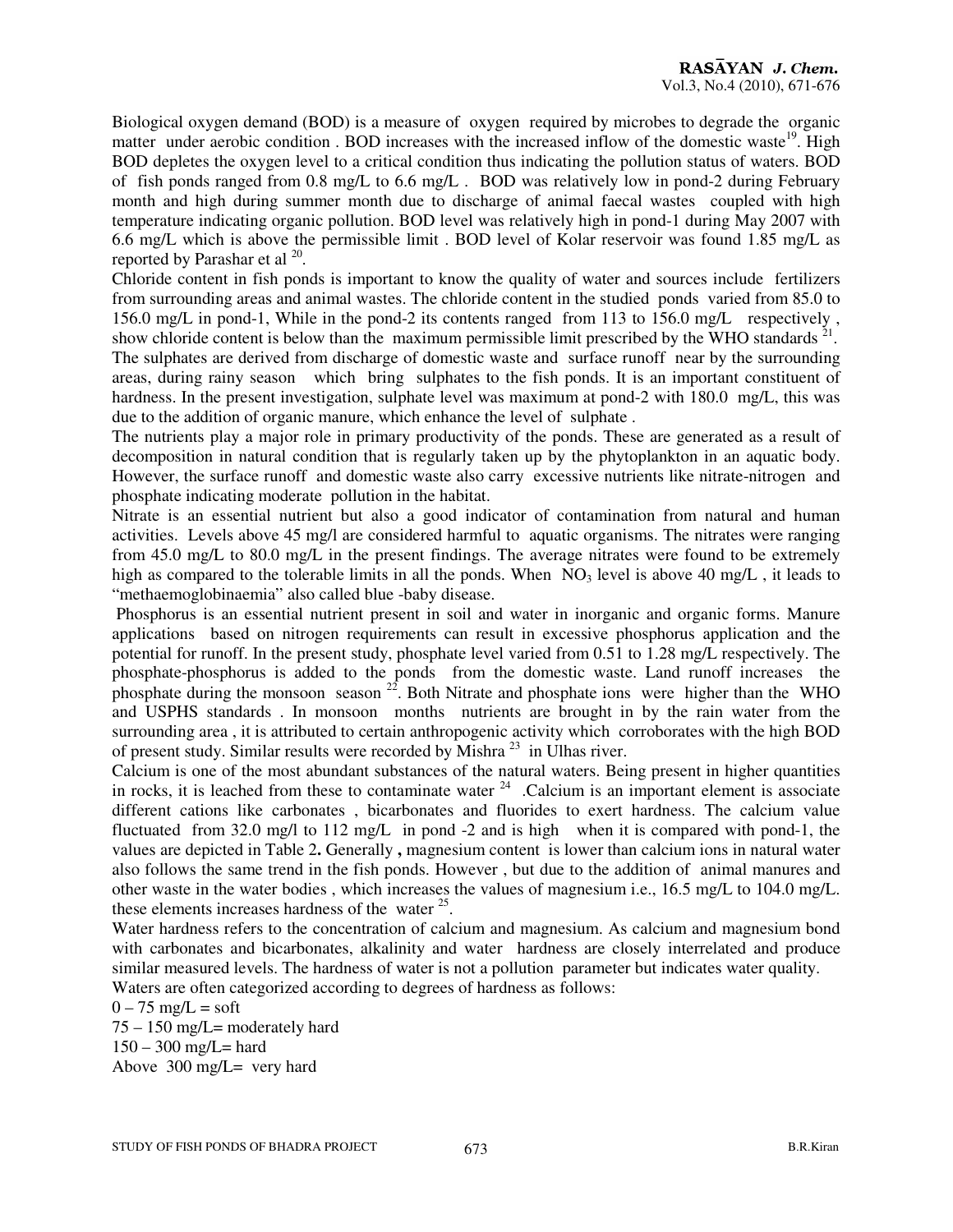Biological oxygen demand (BOD) is a measure of oxygen required by microbes to degrade the organic matter under aerobic condition. BOD increases with the increased inflow of the domestic waste<sup>19</sup>. High BOD depletes the oxygen level to a critical condition thus indicating the pollution status of waters. BOD of fish ponds ranged from 0.8 mg/L to 6.6 mg/L . BOD was relatively low in pond-2 during February month and high during summer month due to discharge of animal faecal wastes coupled with high temperature indicating organic pollution. BOD level was relatively high in pond-1 during May 2007 with 6.6 mg/L which is above the permissible limit . BOD level of Kolar reservoir was found 1.85 mg/L as reported by Parashar et al  $^{20}$ .

Chloride content in fish ponds is important to know the quality of water and sources include fertilizers from surrounding areas and animal wastes. The chloride content in the studied ponds varied from 85.0 to 156.0 mg/L in pond-1, While in the pond-2 its contents ranged from 113 to 156.0 mg/L respectively , show chloride content is below than the maximum permissible limit prescribed by the WHO standards  $21$ . The sulphates are derived from discharge of domestic waste and surface runoff near by the surrounding

areas, during rainy season which bring sulphates to the fish ponds. It is an important constituent of hardness. In the present investigation, sulphate level was maximum at pond-2 with 180.0 mg/L, this was due to the addition of organic manure, which enhance the level of sulphate .

The nutrients play a major role in primary productivity of the ponds. These are generated as a result of decomposition in natural condition that is regularly taken up by the phytoplankton in an aquatic body. However, the surface runoff and domestic waste also carry excessive nutrients like nitrate-nitrogen and phosphate indicating moderate pollution in the habitat.

Nitrate is an essential nutrient but also a good indicator of contamination from natural and human activities. Levels above 45 mg/l are considered harmful to aquatic organisms. The nitrates were ranging from 45.0 mg/L to 80.0 mg/L in the present findings. The average nitrates were found to be extremely high as compared to the tolerable limits in all the ponds. When  $NO<sub>3</sub>$  level is above 40 mg/L, it leads to "methaemoglobinaemia" also called blue -baby disease.

 Phosphorus is an essential nutrient present in soil and water in inorganic and organic forms. Manure applications based on nitrogen requirements can result in excessive phosphorus application and the potential for runoff. In the present study, phosphate level varied from 0.51 to 1.28 mg/L respectively. The phosphate-phosphorus is added to the ponds from the domestic waste. Land runoff increases the phosphate during the monsoon season  $^{22}$ . Both Nitrate and phosphate ions were higher than the WHO and USPHS standards . In monsoon months nutrients are brought in by the rain water from the surrounding area , it is attributed to certain anthropogenic activity which corroborates with the high BOD of present study. Similar results were recorded by Mishra <sup>23</sup> in Ulhas river.

Calcium is one of the most abundant substances of the natural waters. Being present in higher quantities in rocks, it is leached from these to contaminate water  $24$ . Calcium is an important element is associate different cations like carbonates , bicarbonates and fluorides to exert hardness. The calcium value fluctuated from 32.0 mg/l to 112 mg/L in pond -2 and is high when it is compared with pond-1, the values are depicted in Table 2**.** Generally **,** magnesium content is lower than calcium ions in natural water also follows the same trend in the fish ponds. However , but due to the addition of animal manures and other waste in the water bodies , which increases the values of magnesium i.e., 16.5 mg/L to 104.0 mg/L. these elements increases hardness of the water  $25$ .

Water hardness refers to the concentration of calcium and magnesium. As calcium and magnesium bond with carbonates and bicarbonates, alkalinity and water hardness are closely interrelated and produce similar measured levels. The hardness of water is not a pollution parameter but indicates water quality. Waters are often categorized according to degrees of hardness as follows:

 $0 - 75$  mg/L = soft

75 – 150 mg/L= moderately hard  $150 - 300$  mg/L= hard Above 300 mg/L= very hard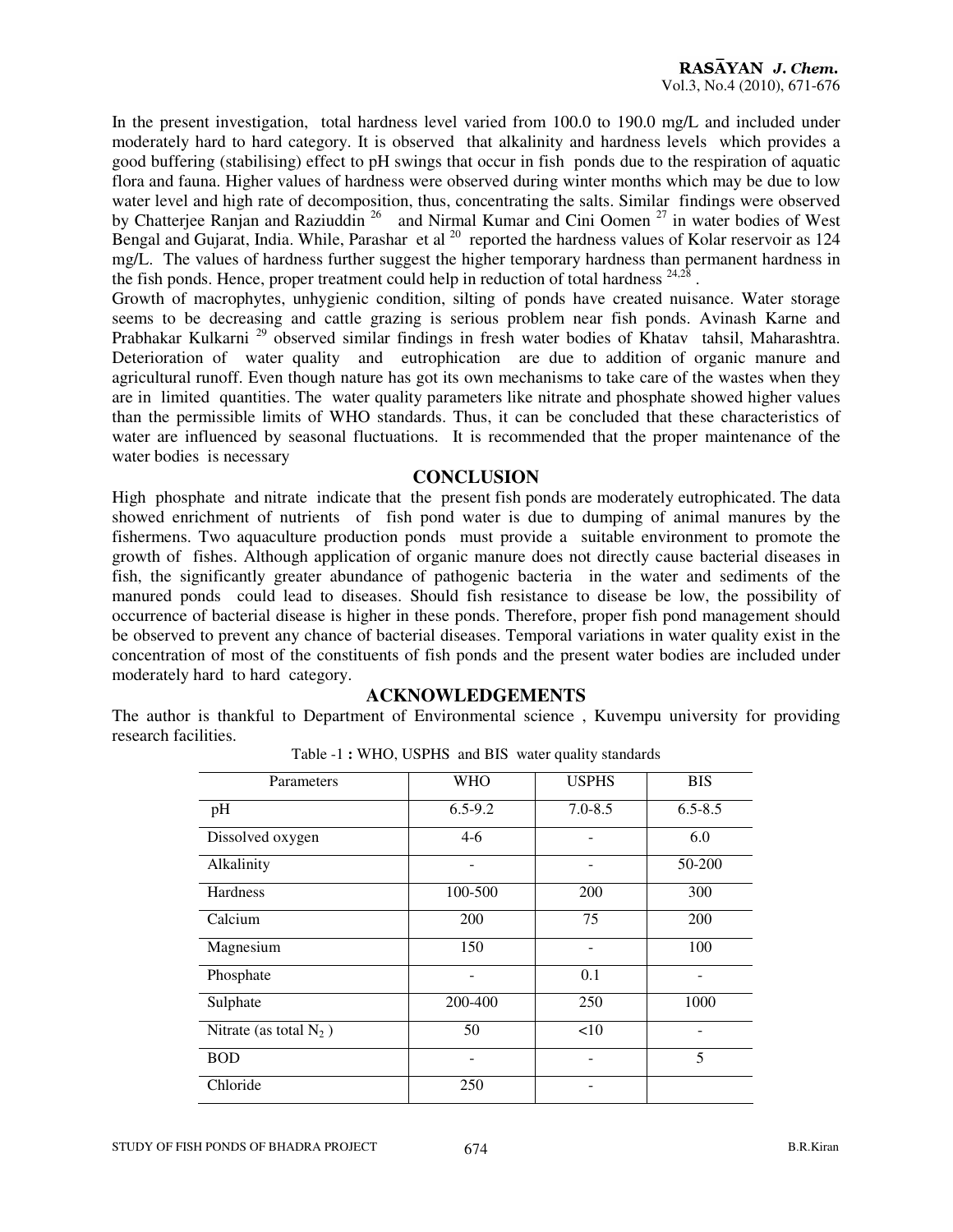In the present investigation, total hardness level varied from 100.0 to 190.0 mg/L and included under moderately hard to hard category. It is observed that alkalinity and hardness levels which provides a good buffering (stabilising) effect to pH swings that occur in fish ponds due to the respiration of aquatic flora and fauna. Higher values of hardness were observed during winter months which may be due to low water level and high rate of decomposition, thus, concentrating the salts. Similar findings were observed by Chatterjee Ranjan and Raziuddin<sup>26</sup> and Nirmal Kumar and Cini Oomen<sup>27</sup> in water bodies of West Bengal and Gujarat, India. While, Parashar et al <sup>20</sup> reported the hardness values of Kolar reservoir as 124 mg/L. The values of hardness further suggest the higher temporary hardness than permanent hardness in the fish ponds. Hence, proper treatment could help in reduction of total hardness  $24.28$ .

Growth of macrophytes, unhygienic condition, silting of ponds have created nuisance. Water storage seems to be decreasing and cattle grazing is serious problem near fish ponds. Avinash Karne and Prabhakar Kulkarni<sup>29</sup> observed similar findings in fresh water bodies of Khatav tahsil, Maharashtra. Deterioration of water quality and eutrophication are due to addition of organic manure and agricultural runoff. Even though nature has got its own mechanisms to take care of the wastes when they are in limited quantities. The water quality parameters like nitrate and phosphate showed higher values than the permissible limits of WHO standards. Thus, it can be concluded that these characteristics of water are influenced by seasonal fluctuations. It is recommended that the proper maintenance of the water bodies is necessary

### **CONCLUSION**

High phosphate and nitrate indicate that the present fish ponds are moderately eutrophicated. The data showed enrichment of nutrients of fish pond water is due to dumping of animal manures by the fishermens. Two aquaculture production ponds must provide a suitable environment to promote the growth of fishes. Although application of organic manure does not directly cause bacterial diseases in fish, the significantly greater abundance of pathogenic bacteria in the water and sediments of the manured ponds could lead to diseases. Should fish resistance to disease be low, the possibility of occurrence of bacterial disease is higher in these ponds. Therefore, proper fish pond management should be observed to prevent any chance of bacterial diseases. Temporal variations in water quality exist in the concentration of most of the constituents of fish ponds and the present water bodies are included under moderately hard to hard category.

### **ACKNOWLEDGEMENTS**

The author is thankful to Department of Environmental science , Kuvempu university for providing research facilities.

| Parameters                | <b>WHO</b>  | <b>USPHS</b> | <b>BIS</b>  |
|---------------------------|-------------|--------------|-------------|
| pH                        | $6.5 - 9.2$ | $7.0 - 8.5$  | $6.5 - 8.5$ |
| Dissolved oxygen          | $4-6$       |              | 6.0         |
| Alkalinity                |             |              | 50-200      |
| Hardness                  | 100-500     | 200          | 300         |
| Calcium                   | 200         | 75           | 200         |
| Magnesium                 | 150         |              | 100         |
| Phosphate                 |             | 0.1          |             |
| Sulphate                  | 200-400     | 250          | 1000        |
| Nitrate (as total $N_2$ ) | 50          | <10          |             |
| <b>BOD</b>                |             | -            | 5           |
| Chloride                  | 250         |              |             |

Table -1 **:** WHO, USPHS and BIS water quality standards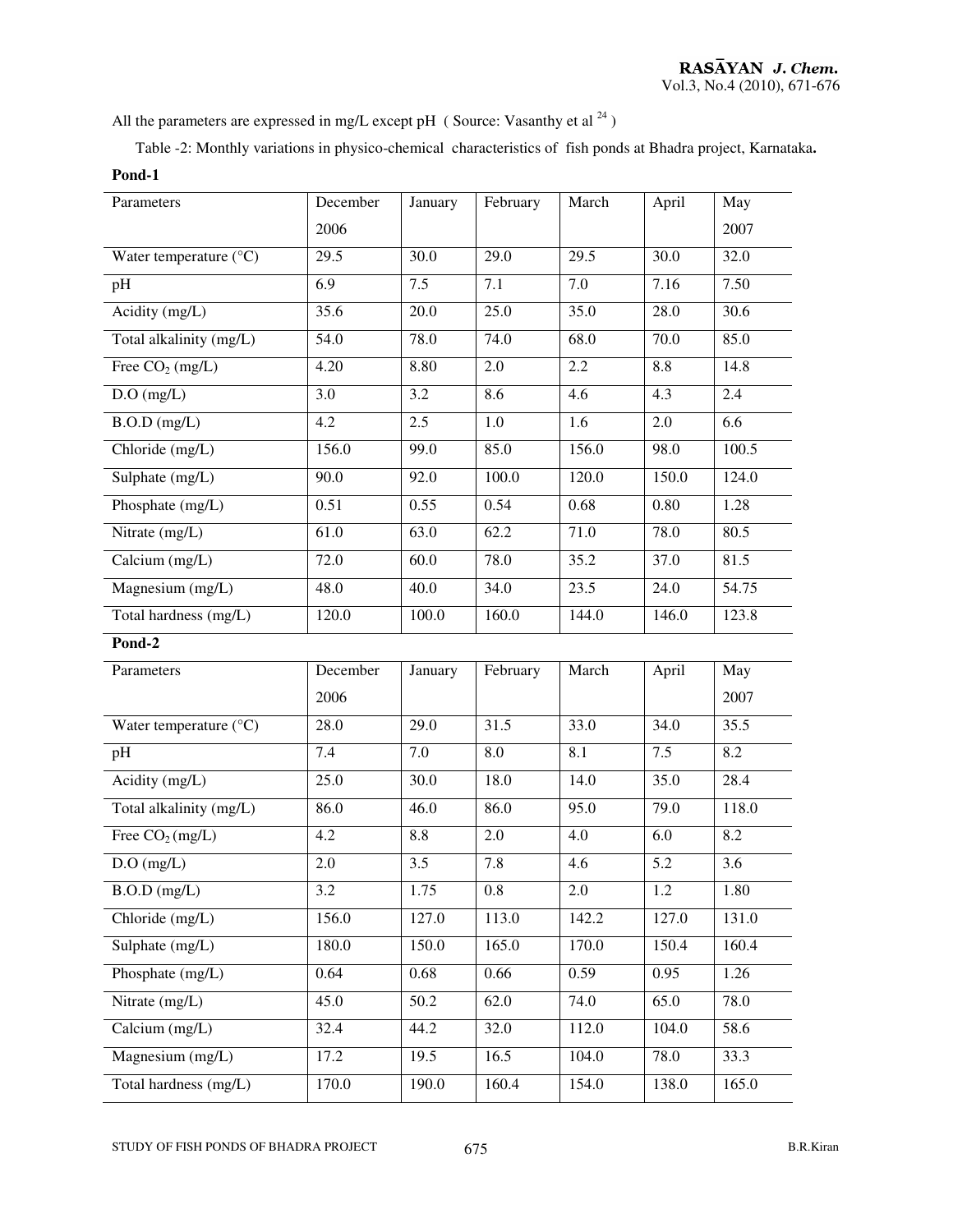All the parameters are expressed in mg/L except pH (Source: Vasanthy et al  $^{24}$ )

Table -2: Monthly variations in physico-chemical characteristics of fish ponds at Bhadra project, Karnataka**. Pond-1** 

| Parameters                      | December | January | February | March | April | May   |
|---------------------------------|----------|---------|----------|-------|-------|-------|
|                                 | 2006     |         |          |       |       | 2007  |
| Water temperature $(^{\circ}C)$ | 29.5     | 30.0    | 29.0     | 29.5  | 30.0  | 32.0  |
| pH                              | 6.9      | 7.5     | 7.1      | 7.0   | 7.16  | 7.50  |
| Acidity (mg/L)                  | 35.6     | 20.0    | 25.0     | 35.0  | 28.0  | 30.6  |
| Total alkalinity (mg/L)         | 54.0     | 78.0    | 74.0     | 68.0  | 70.0  | 85.0  |
| Free $CO2$ (mg/L)               | 4.20     | 8.80    | 2.0      | 2.2   | 8.8   | 14.8  |
| $D.O$ (mg/L)                    | 3.0      | 3.2     | 8.6      | 4.6   | 4.3   | 2.4   |
| $B.O.D$ (mg/L)                  | 4.2      | 2.5     | 1.0      | 1.6   | 2.0   | 6.6   |
| Chloride (mg/L)                 | 156.0    | 99.0    | 85.0     | 156.0 | 98.0  | 100.5 |
| Sulphate (mg/L)                 | 90.0     | 92.0    | 100.0    | 120.0 | 150.0 | 124.0 |
| Phosphate (mg/L)                | 0.51     | 0.55    | 0.54     | 0.68  | 0.80  | 1.28  |
| Nitrate (mg/L)                  | 61.0     | 63.0    | 62.2     | 71.0  | 78.0  | 80.5  |
| Calcium $(mg/L)$                | 72.0     | 60.0    | 78.0     | 35.2  | 37.0  | 81.5  |
| Magnesium (mg/L)                | 48.0     | 40.0    | 34.0     | 23.5  | 24.0  | 54.75 |
| Total hardness (mg/L)           | 120.0    | 100.0   | 160.0    | 144.0 | 146.0 | 123.8 |
|                                 |          |         |          |       |       |       |
| Pond-2                          |          |         |          |       |       |       |
| Parameters                      | December | January | February | March | April | May   |
|                                 | 2006     |         |          |       |       | 2007  |
| Water temperature $(^{\circ}C)$ | 28.0     | 29.0    | 31.5     | 33.0  | 34.0  | 35.5  |
| pH                              | 7.4      | 7.0     | 8.0      | 8.1   | 7.5   | 8.2   |
| Acidity (mg/L)                  | 25.0     | 30.0    | 18.0     | 14.0  | 35.0  | 28.4  |
| Total alkalinity (mg/L)         | 86.0     | 46.0    | 86.0     | 95.0  | 79.0  | 118.0 |
| Free $CO2(mg/L)$                | 4.2      | 8.8     | 2.0      | 4.0   | 6.0   | 8.2   |
| $D.O$ (mg/L)                    | 2.0      | 3.5     | 7.8      | 4.6   | 5.2   | 3.6   |
| $B.O.D$ (mg/L)                  | 3.2      | 1.75    | 0.8      | 2.0   | 1.2   | 1.80  |
| Chloride (mg/L)                 | 156.0    | 127.0   | 113.0    | 142.2 | 127.0 | 131.0 |
| Sulphate $(mg/L)$               | 180.0    | 150.0   | 165.0    | 170.0 | 150.4 | 160.4 |
| Phosphate $(mg/L)$              | 0.64     | 0.68    | 0.66     | 0.59  | 0.95  | 1.26  |
| Nitrate (mg/L)                  | 45.0     | 50.2    | 62.0     | 74.0  | 65.0  | 78.0  |
| Calcium (mg/L)                  | 32.4     | 44.2    | 32.0     | 112.0 | 104.0 | 58.6  |
| Magnesium $(mg/L)$              | 17.2     | 19.5    | 16.5     | 104.0 | 78.0  | 33.3  |